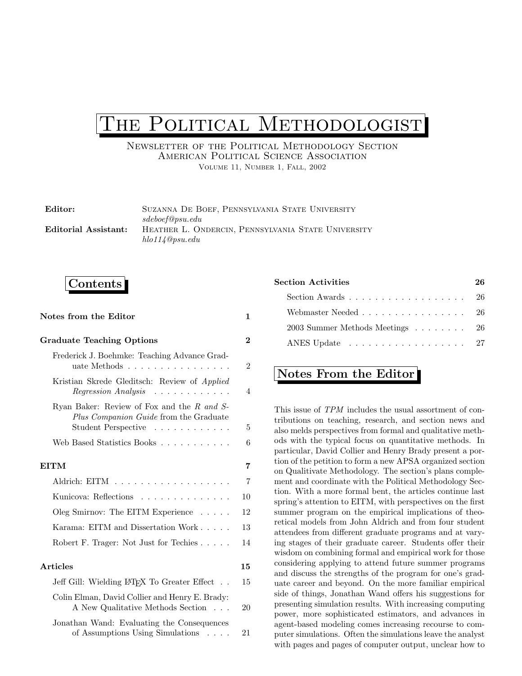# THE POLITICAL METHODOLOGIST

Newsletter of the Political Methodology Section American Political Science Association Volume 11, Number 1, Fall, 2002

| Editor:              | SUZANNA DE BOEF, PENNSYLVANIA STATE UNIVERSITY     |
|----------------------|----------------------------------------------------|
|                      | sdeboef@psu.edu                                    |
| Editorial Assistant: | HEATHER L. ONDERCIN, PENNSYLVANIA STATE UNIVERSITY |
|                      | hlo114@psu.edu                                     |

## Contents

| Notes from the Editor                                                                                       |                |  |
|-------------------------------------------------------------------------------------------------------------|----------------|--|
| <b>Graduate Teaching Options</b>                                                                            | $\overline{2}$ |  |
| Frederick J. Boehmke: Teaching Advance Grad-<br>uate Methods                                                |                |  |
| Kristian Skrede Gleditsch: Review of Applied<br>Regression Analysis<br>.                                    | $\overline{4}$ |  |
| Ryan Baker: Review of Fox and the R and S-<br>Plus Companion Guide from the Graduate<br>Student Perspective | 5              |  |
| Web Based Statistics Books                                                                                  | 6              |  |
| <b>EITM</b>                                                                                                 | 7              |  |
| Aldrich: EITM                                                                                               | $\overline{7}$ |  |
| Kunicova: Reflections                                                                                       |                |  |
| Oleg Smirnov: The EITM Experience $\dots$ .                                                                 |                |  |
| Karama: EITM and Dissertation Work                                                                          |                |  |
| Robert F. Trager: Not Just for Techies                                                                      | 14             |  |
| Articles                                                                                                    | 15             |  |
| Jeff Gill: Wielding L <sup>A</sup> T <sub>F</sub> X To Greater Effect                                       | 15             |  |
| Colin Elman, David Collier and Henry E. Brady:<br>A New Qualitative Methods Section                         | 20             |  |
| Jonathan Wand: Evaluating the Consequences<br>of Assumptions Using Simulations                              | 21             |  |

| Section Activities                                                       |  |  |
|--------------------------------------------------------------------------|--|--|
| Section Awards $\ldots$ , $\ldots$ , $\ldots$ , $\ldots$ , $\ldots$ , 26 |  |  |
| Webmaster Needed 26                                                      |  |  |
| 2003 Summer Methods Meetings 26                                          |  |  |
| ANES Update 27                                                           |  |  |
|                                                                          |  |  |

## Notes From the Editor

This issue of TPM includes the usual assortment of contributions on teaching, research, and section news and also melds perspectives from formal and qualitative methods with the typical focus on quantitative methods. In particular, David Collier and Henry Brady present a portion of the petition to form a new APSA organized section on Qualitivate Methodology. The section's plans complement and coordinate with the Political Methodology Section. With a more formal bent, the articles continue last spring's attention to EITM, with perspectives on the first summer program on the empirical implications of theoretical models from John Aldrich and from four student attendees from different graduate programs and at varying stages of their graduate career. Students offer their wisdom on combining formal and empirical work for those considering applying to attend future summer programs and discuss the strengths of the program for one's graduate career and beyond. On the more familiar empirical side of things, Jonathan Wand offers his suggestions for presenting simulation results. With increasing computing power, more sophisticated estimators, and advances in agent-based modeling comes increasing recourse to computer simulations. Often the simulations leave the analyst with pages and pages of computer output, unclear how to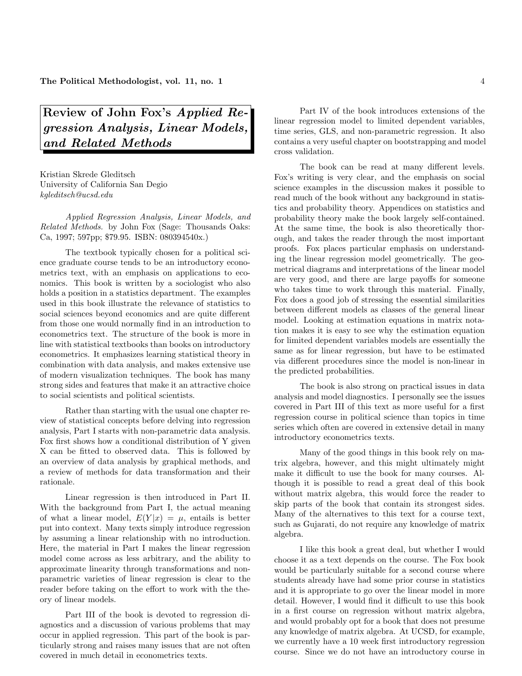# Review of John Fox's Applied Regression Analysis, Linear Models, and Related Methods

Kristian Skrede Gleditsch University of California San Degio kgleditsch@ucsd.edu

Applied Regression Analysis, Linear Models, and Related Methods. by John Fox (Sage: Thousands Oaks: Ca, 1997; 597pp; \$79.95. ISBN: 080394540x.)

The textbook typically chosen for a political science graduate course tends to be an introductory econometrics text, with an emphasis on applications to economics. This book is written by a sociologist who also holds a position in a statistics department. The examples used in this book illustrate the relevance of statistics to social sciences beyond economics and are quite different from those one would normally find in an introduction to econometrics text. The structure of the book is more in line with statistical textbooks than books on introductory econometrics. It emphasizes learning statistical theory in combination with data analysis, and makes extensive use of modern visualization techniques. The book has many strong sides and features that make it an attractive choice to social scientists and political scientists.

Rather than starting with the usual one chapter review of statistical concepts before delving into regression analysis, Part I starts with non-parametric data analysis. Fox first shows how a conditional distribution of Y given X can be fitted to observed data. This is followed by an overview of data analysis by graphical methods, and a review of methods for data transformation and their rationale.

Linear regression is then introduced in Part II. With the background from Part I, the actual meaning of what a linear model,  $E(Y|x) = \mu$ , entails is better put into context. Many texts simply introduce regression by assuming a linear relationship with no introduction. Here, the material in Part I makes the linear regression model come across as less arbitrary, and the ability to approximate linearity through transformations and nonparametric varieties of linear regression is clear to the reader before taking on the effort to work with the theory of linear models.

Part III of the book is devoted to regression diagnostics and a discussion of various problems that may occur in applied regression. This part of the book is particularly strong and raises many issues that are not often covered in much detail in econometrics texts.

Part IV of the book introduces extensions of the linear regression model to limited dependent variables, time series, GLS, and non-parametric regression. It also contains a very useful chapter on bootstrapping and model cross validation.

The book can be read at many different levels. Fox's writing is very clear, and the emphasis on social science examples in the discussion makes it possible to read much of the book without any background in statistics and probability theory. Appendices on statistics and probability theory make the book largely self-contained. At the same time, the book is also theoretically thorough, and takes the reader through the most important proofs. Fox places particular emphasis on understanding the linear regression model geometrically. The geometrical diagrams and interpretations of the linear model are very good, and there are large payoffs for someone who takes time to work through this material. Finally, Fox does a good job of stressing the essential similarities between different models as classes of the general linear model. Looking at estimation equations in matrix notation makes it is easy to see why the estimation equation for limited dependent variables models are essentially the same as for linear regression, but have to be estimated via different procedures since the model is non-linear in the predicted probabilities.

The book is also strong on practical issues in data analysis and model diagnostics. I personally see the issues covered in Part III of this text as more useful for a first regression course in political science than topics in time series which often are covered in extensive detail in many introductory econometrics texts.

Many of the good things in this book rely on matrix algebra, however, and this might ultimately might make it difficult to use the book for many courses. Although it is possible to read a great deal of this book without matrix algebra, this would force the reader to skip parts of the book that contain its strongest sides. Many of the alternatives to this text for a course text, such as Gujarati, do not require any knowledge of matrix algebra.

I like this book a great deal, but whether I would choose it as a text depends on the course. The Fox book would be particularly suitable for a second course where students already have had some prior course in statistics and it is appropriate to go over the linear model in more detail. However, I would find it difficult to use this book in a first course on regression without matrix algebra, and would probably opt for a book that does not presume any knowledge of matrix algebra. At UCSD, for example, we currently have a 10 week first introductory regression course. Since we do not have an introductory course in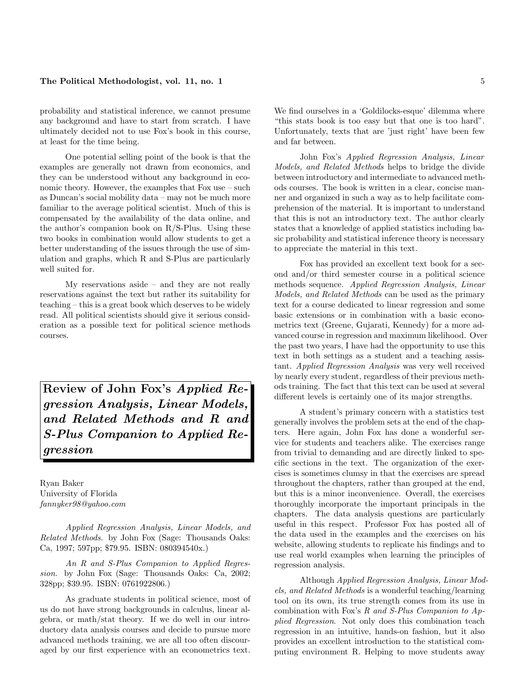## The Political Methodologist, vol. 11, no. 1  $\frac{1}{2}$  5

probability and statistical inference, we cannot presume any background and have to start from scratch. I have ultimately decided not to use Fox's book in this course, at least for the time being.

One potential selling point of the book is that the examples are generally not drawn from economics, and they can be understood without any background in economic theory. However, the examples that Fox use – such as Duncan's social mobility data – may not be much more familiar to the average political scientist. Much of this is compensated by the availability of the data online, and the author's companion book on  $R/S-Plus$ . Using these two books in combination would allow students to get a better understanding of the issues through the use of simulation and graphs, which R and S-Plus are particularly well suited for.

My reservations aside – and they are not really reservations against the text but rather its suitability for teaching – this is a great book which deserves to be widely read. All political scientists should give it serious consideration as a possible text for political science methods courses.

Review of John Fox's Applied Regression Analysis, Linear Models, and Related Methods and R and S-Plus Companion to Applied Regression

Ryan Baker University of Florida fannyker98@yahoo.com

Applied Regression Analysis, Linear Models, and Related Methods. by John Fox (Sage: Thousands Oaks: Ca, 1997; 597pp; \$79.95. ISBN: 080394540x.)

An R and S-Plus Companion to Applied Regression. by John Fox (Sage: Thousands Oaks: Ca, 2002; 328pp; \$39.95. ISBN: 0761922806.)

As graduate students in political science, most of us do not have strong backgrounds in calculus, linear algebra, or math/stat theory. If we do well in our introductory data analysis courses and decide to pursue more advanced methods training, we are all too often discouraged by our first experience with an econometrics text. We find ourselves in a 'Goldilocks-esque' dilemma where "this stats book is too easy but that one is too hard". Unfortunately, texts that are 'just right' have been few and far between.

John Fox's Applied Regression Analysis, Linear Models, and Related Methods helps to bridge the divide between introductory and intermediate to advanced methods courses. The book is written in a clear, concise manner and organized in such a way as to help facilitate comprehension of the material. It is important to understand that this is not an introductory text. The author clearly states that a knowledge of applied statistics including basic probability and statistical inference theory is necessary to appreciate the material in this text.

Fox has provided an excellent text book for a second and/or third semester course in a political science methods sequence. Applied Regression Analysis, Linear Models, and Related Methods can be used as the primary text for a course dedicated to linear regression and some basic extensions or in combination with a basic econometrics text (Greene, Gujarati, Kennedy) for a more advanced course in regression and maximum likelihood. Over the past two years, I have had the opportunity to use this text in both settings as a student and a teaching assistant. Applied Regression Analysis was very well received by nearly every student, regardless of their previous methods training. The fact that this text can be used at several different levels is certainly one of its major strengths.

A student's primary concern with a statistics test generally involves the problem sets at the end of the chapters. Here again, John Fox has done a wonderful service for students and teachers alike. The exercises range from trivial to demanding and are directly linked to specific sections in the text. The organization of the exercises is sometimes clumsy in that the exercises are spread throughout the chapters, rather than grouped at the end, but this is a minor inconvenience. Overall, the exercises thoroughly incorporate the important principals in the chapters. The data analysis questions are particularly useful in this respect. Professor Fox has posted all of the data used in the examples and the exercises on his website, allowing students to replicate his findings and to use real world examples when learning the principles of regression analysis.

Although Applied Regression Analysis, Linear Models, and Related Methods is a wonderful teaching/learning tool on its own, its true strength comes from its use in combination with Fox's  $R$  and  $S-Plus\ Companion\ to\ Ap$ plied Regression. Not only does this combination teach regression in an intuitive, hands-on fashion, but it also provides an excellent introduction to the statistical computing environment R. Helping to move students away